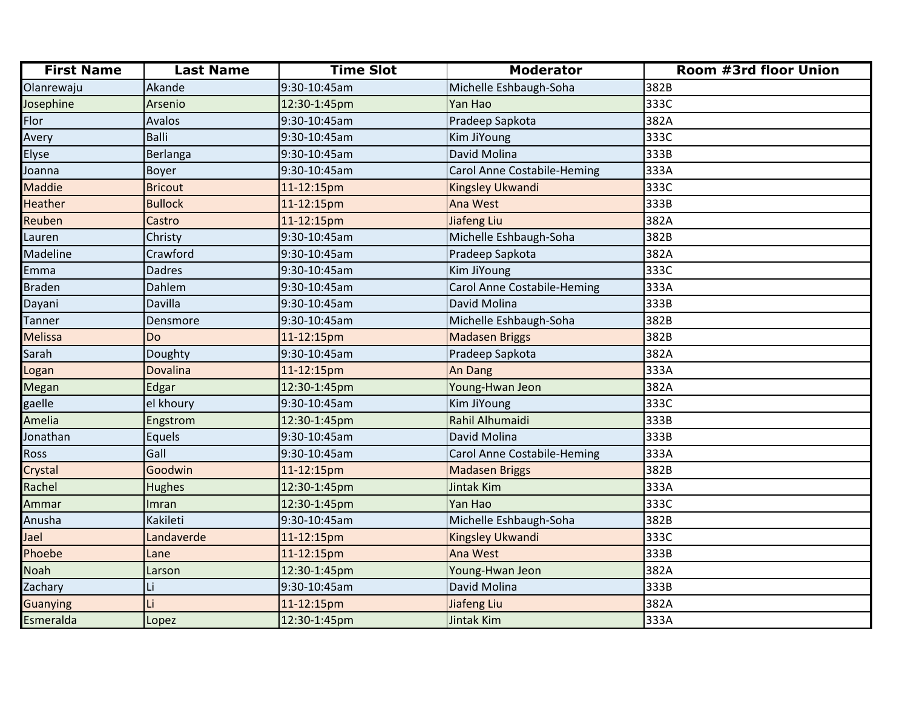| <b>First Name</b> | <b>Last Name</b> | <b>Time Slot</b> | <b>Moderator</b>                   | Room #3rd floor Union |
|-------------------|------------------|------------------|------------------------------------|-----------------------|
| Olanrewaju        | Akande           | 9:30-10:45am     | Michelle Eshbaugh-Soha             | 382B                  |
| Josephine         | Arsenio          | 12:30-1:45pm     | Yan Hao                            | 333C                  |
| Flor              | Avalos           | 9:30-10:45am     | Pradeep Sapkota                    | 382A                  |
| Avery             | <b>Balli</b>     | 9:30-10:45am     | Kim JiYoung                        | 333C                  |
| Elyse             | Berlanga         | 9:30-10:45am     | David Molina                       | 333B                  |
| Joanna            | <b>Boyer</b>     | 9:30-10:45am     | <b>Carol Anne Costabile-Heming</b> | 333A                  |
| Maddie            | <b>Bricout</b>   | 11-12:15pm       | Kingsley Ukwandi                   | 333C                  |
| <b>Heather</b>    | <b>Bullock</b>   | 11-12:15pm       | Ana West                           | 333B                  |
| Reuben            | Castro           | 11-12:15pm       | Jiafeng Liu                        | 382A                  |
| Lauren            | Christy          | 9:30-10:45am     | Michelle Eshbaugh-Soha             | 382B                  |
| Madeline          | Crawford         | 9:30-10:45am     | Pradeep Sapkota                    | 382A                  |
| Emma              | <b>Dadres</b>    | 9:30-10:45am     | Kim JiYoung                        | 333C                  |
| <b>Braden</b>     | Dahlem           | 9:30-10:45am     | <b>Carol Anne Costabile-Heming</b> | 333A                  |
| Dayani            | Davilla          | 9:30-10:45am     | David Molina                       | 333B                  |
| <b>Tanner</b>     | Densmore         | 9:30-10:45am     | Michelle Eshbaugh-Soha             | 382B                  |
| Melissa           | Do               | 11-12:15pm       | <b>Madasen Briggs</b>              | 382B                  |
| Sarah             | Doughty          | 9:30-10:45am     | Pradeep Sapkota                    | 382A                  |
| Logan             | Dovalina         | 11-12:15pm       | <b>An Dang</b>                     | 333A                  |
| Megan             | Edgar            | 12:30-1:45pm     | Young-Hwan Jeon                    | 382A                  |
| gaelle            | el khoury        | 9:30-10:45am     | Kim JiYoung                        | 333C                  |
| Amelia            | Engstrom         | 12:30-1:45pm     | Rahil Alhumaidi                    | 333B                  |
| Jonathan          | Equels           | 9:30-10:45am     | David Molina                       | 333B                  |
| Ross              | Gall             | 9:30-10:45am     | <b>Carol Anne Costabile-Heming</b> | 333A                  |
| Crystal           | Goodwin          | 11-12:15pm       | <b>Madasen Briggs</b>              | 382B                  |
| Rachel            | <b>Hughes</b>    | 12:30-1:45pm     | Jintak Kim                         | 333A                  |
| Ammar             | Imran            | 12:30-1:45pm     | Yan Hao                            | 333C                  |
| Anusha            | Kakileti         | 9:30-10:45am     | Michelle Eshbaugh-Soha             | 382B                  |
| Jael              | Landaverde       | 11-12:15pm       | Kingsley Ukwandi                   | 333C                  |
| Phoebe            | Lane             | 11-12:15pm       | Ana West                           | 333B                  |
| Noah              | Larson           | 12:30-1:45pm     | Young-Hwan Jeon                    | 382A                  |
| Zachary           | Li               | 9:30-10:45am     | David Molina                       | 333B                  |
| <b>Guanying</b>   |                  | 11-12:15pm       | Jiafeng Liu                        | 382A                  |
| Esmeralda         | Lopez            | 12:30-1:45pm     | Jintak Kim                         | 333A                  |